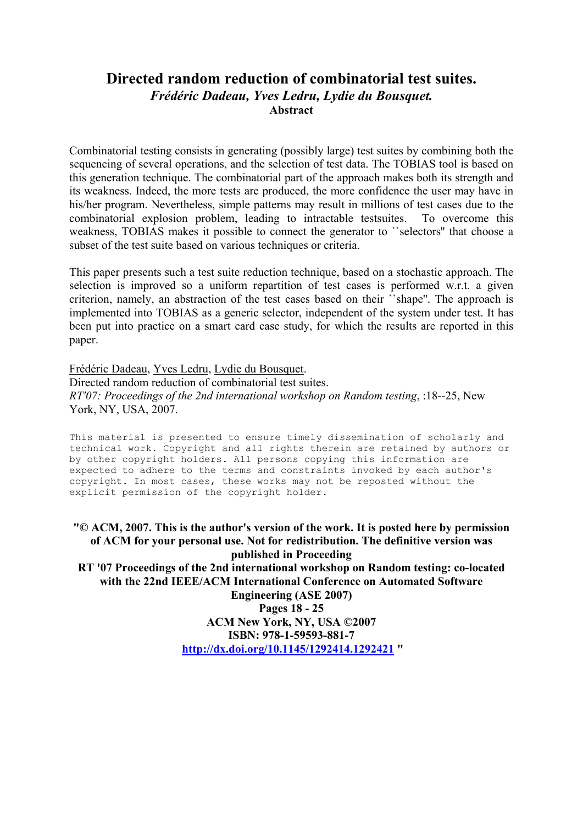# **Directed random reduction of combinatorial test suites.**  *Frédéric Dadeau, Yves Ledru, Lydie du Bousquet.*  **Abstract**

Combinatorial testing consists in generating (possibly large) test suites by combining both the sequencing of several operations, and the selection of test data. The TOBIAS tool is based on this generation technique. The combinatorial part of the approach makes both its strength and its weakness. Indeed, the more tests are produced, the more confidence the user may have in his/her program. Nevertheless, simple patterns may result in millions of test cases due to the combinatorial explosion problem, leading to intractable testsuites. To overcome this weakness, TOBIAS makes it possible to connect the generator to ``selectors'' that choose a subset of the test suite based on various techniques or criteria.

This paper presents such a test suite reduction technique, based on a stochastic approach. The selection is improved so a uniform repartition of test cases is performed w.r.t. a given criterion, namely, an abstraction of the test cases based on their ``shape''. The approach is implemented into TOBIAS as a generic selector, independent of the system under test. It has been put into practice on a smart card case study, for which the results are reported in this paper.

Frédéric Dadeau, Yves Ledru, Lydie du Bousquet. Directed random reduction of combinatorial test suites. *RT'07: Proceedings of the 2nd international workshop on Random testing*, :18--25, New York, NY, USA, 2007.

This material is presented to ensure timely dissemination of scholarly and technical work. Copyright and all rights therein are retained by authors or by other copyright holders. All persons copying this information are expected to adhere to the terms and constraints invoked by each author's copyright. In most cases, these works may not be reposted without the explicit permission of the copyright holder.

**"© ACM, 2007. This is the author's version of the work. It is posted here by permission of ACM for your personal use. Not for redistribution. The definitive version was published in Proceeding RT '07 Proceedings of the 2nd international workshop on Random testing: co-located with the 22nd IEEE/ACM International Conference on Automated Software Engineering (ASE 2007) Pages 18 - 25 ACM New York, NY, USA ©2007 ISBN: 978-1-59593-881-7 http://dx.doi.org/10.1145/1292414.1292421 "**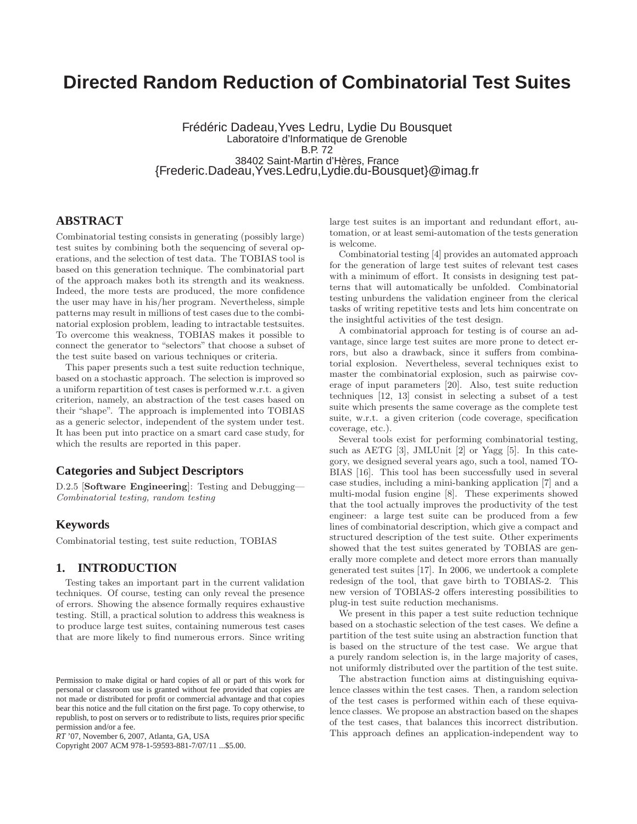# **Directed Random Reduction of Combinatorial Test Suites**

Frédéric Dadeau,Yves Ledru, Lydie Du Bousquet Laboratoire d'Informatique de Grenoble B.P. 72 38402 Saint-Martin d'Hères, France {Frederic.Dadeau,Yves.Ledru,Lydie.du-Bousquet}@imag.fr

# **ABSTRACT**

Combinatorial testing consists in generating (possibly large) test suites by combining both the sequencing of several operations, and the selection of test data. The TOBIAS tool is based on this generation technique. The combinatorial part of the approach makes both its strength and its weakness. Indeed, the more tests are produced, the more confidence the user may have in his/her program. Nevertheless, simple patterns may result in millions of test cases due to the combinatorial explosion problem, leading to intractable testsuites. To overcome this weakness, TOBIAS makes it possible to connect the generator to "selectors" that choose a subset of the test suite based on various techniques or criteria.

This paper presents such a test suite reduction technique, based on a stochastic approach. The selection is improved so a uniform repartition of test cases is performed w.r.t. a given criterion, namely, an abstraction of the test cases based on their "shape". The approach is implemented into TOBIAS as a generic selector, independent of the system under test. It has been put into practice on a smart card case study, for which the results are reported in this paper.

# **Categories and Subject Descriptors**

D.2.5 [Software Engineering]: Testing and Debugging— Combinatorial testing, random testing

#### **Keywords**

Combinatorial testing, test suite reduction, TOBIAS

### **1. INTRODUCTION**

Testing takes an important part in the current validation techniques. Of course, testing can only reveal the presence of errors. Showing the absence formally requires exhaustive testing. Still, a practical solution to address this weakness is to produce large test suites, containing numerous test cases that are more likely to find numerous errors. Since writing

Copyright 2007 ACM 978-1-59593-881-7/07/11 ...\$5.00.

large test suites is an important and redundant effort, automation, or at least semi-automation of the tests generation is welcome.

Combinatorial testing [4] provides an automated approach for the generation of large test suites of relevant test cases with a minimum of effort. It consists in designing test patterns that will automatically be unfolded. Combinatorial testing unburdens the validation engineer from the clerical tasks of writing repetitive tests and lets him concentrate on the insightful activities of the test design.

A combinatorial approach for testing is of course an advantage, since large test suites are more prone to detect errors, but also a drawback, since it suffers from combinatorial explosion. Nevertheless, several techniques exist to master the combinatorial explosion, such as pairwise coverage of input parameters [20]. Also, test suite reduction techniques [12, 13] consist in selecting a subset of a test suite which presents the same coverage as the complete test suite, w.r.t. a given criterion (code coverage, specification coverage, etc.).

Several tools exist for performing combinatorial testing, such as AETG [3], JMLUnit [2] or Yagg [5]. In this category, we designed several years ago, such a tool, named TO-BIAS [16]. This tool has been successfully used in several case studies, including a mini-banking application [7] and a multi-modal fusion engine [8]. These experiments showed that the tool actually improves the productivity of the test engineer: a large test suite can be produced from a few lines of combinatorial description, which give a compact and structured description of the test suite. Other experiments showed that the test suites generated by TOBIAS are generally more complete and detect more errors than manually generated test suites [17]. In 2006, we undertook a complete redesign of the tool, that gave birth to TOBIAS-2. This new version of TOBIAS-2 offers interesting possibilities to plug-in test suite reduction mechanisms.

We present in this paper a test suite reduction technique based on a stochastic selection of the test cases. We define a partition of the test suite using an abstraction function that is based on the structure of the test case. We argue that a purely random selection is, in the large majority of cases, not uniformly distributed over the partition of the test suite.

The abstraction function aims at distinguishing equivalence classes within the test cases. Then, a random selection of the test cases is performed within each of these equivalence classes. We propose an abstraction based on the shapes of the test cases, that balances this incorrect distribution. This approach defines an application-independent way to

Permission to make digital or hard copies of all or part of this work for personal or classroom use is granted without fee provided that copies are not made or distributed for profit or commercial advantage and that copies bear this notice and the full citation on the first page. To copy otherwise, to republish, to post on servers or to redistribute to lists, requires prior specific permission and/or a fee.

*RT* '07, November 6, 2007, Atlanta, GA, USA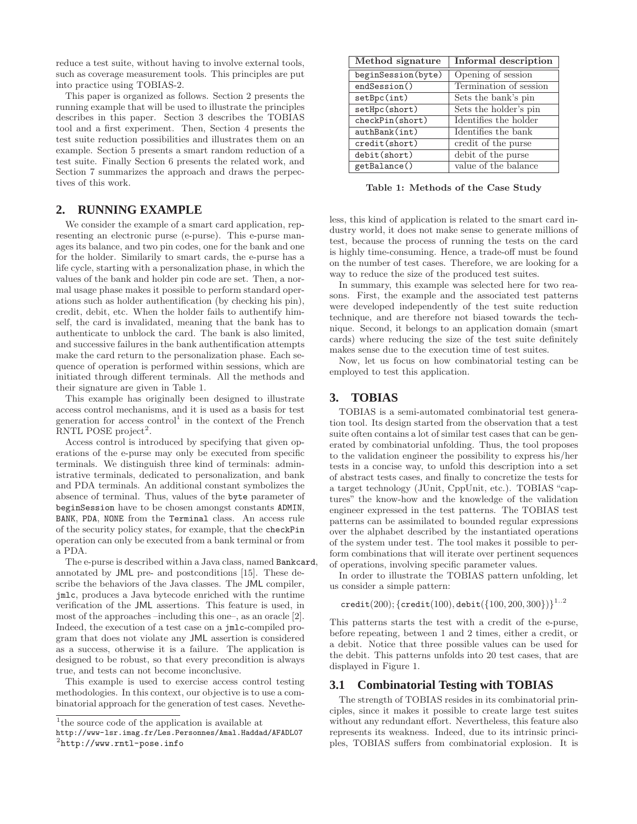reduce a test suite, without having to involve external tools, such as coverage measurement tools. This principles are put into practice using TOBIAS-2.

This paper is organized as follows. Section 2 presents the running example that will be used to illustrate the principles describes in this paper. Section 3 describes the TOBIAS tool and a first experiment. Then, Section 4 presents the test suite reduction possibilities and illustrates them on an example. Section 5 presents a smart random reduction of a test suite. Finally Section 6 presents the related work, and Section 7 summarizes the approach and draws the perpectives of this work.

### **2. RUNNING EXAMPLE**

We consider the example of a smart card application, representing an electronic purse (e-purse). This e-purse manages its balance, and two pin codes, one for the bank and one for the holder. Similarily to smart cards, the e-purse has a life cycle, starting with a personalization phase, in which the values of the bank and holder pin code are set. Then, a normal usage phase makes it possible to perform standard operations such as holder authentification (by checking his pin), credit, debit, etc. When the holder fails to authentify himself, the card is invalidated, meaning that the bank has to authenticate to unblock the card. The bank is also limited, and successive failures in the bank authentification attempts make the card return to the personalization phase. Each sequence of operation is performed within sessions, which are initiated through different terminals. All the methods and their signature are given in Table 1.

This example has originally been designed to illustrate access control mechanisms, and it is used as a basis for test generation for access control<sup>1</sup> in the context of the French RNTL POSE project<sup>2</sup>.

Access control is introduced by specifying that given operations of the e-purse may only be executed from specific terminals. We distinguish three kind of terminals: administrative terminals, dedicated to personalization, and bank and PDA terminals. An additional constant symbolizes the absence of terminal. Thus, values of the byte parameter of beginSession have to be chosen amongst constants ADMIN, BANK, PDA, NONE from the Terminal class. An access rule of the security policy states, for example, that the checkPin operation can only be executed from a bank terminal or from a PDA.

The e-purse is described within a Java class, named Bankcard, annotated by JML pre- and postconditions [15]. These describe the behaviors of the Java classes. The JML compiler, jmlc, produces a Java bytecode enriched with the runtime verification of the JML assertions. This feature is used, in most of the approaches –including this one–, as an oracle [2]. Indeed, the execution of a test case on a jmlc-compiled program that does not violate any JML assertion is considered as a success, otherwise it is a failure. The application is designed to be robust, so that every precondition is always true, and tests can not become inconclusive.

This example is used to exercise access control testing methodologies. In this context, our objective is to use a combinatorial approach for the generation of test cases. Nevethe-

| Method signature   | Informal description   |
|--------------------|------------------------|
| beginSession(byte) | Opening of session     |
| endSession()       | Termination of session |
| setBpc(int)        | Sets the bank's pin    |
| setHpc(short)      | Sets the holder's pin  |
| checkPin(short)    | Identifies the holder  |
| authBank(int)      | Identifies the bank    |
| credit(short)      | credit of the purse    |
| debit(short)       | debit of the purse     |
| getBalance()       | value of the balance   |

Table 1: Methods of the Case Study

less, this kind of application is related to the smart card industry world, it does not make sense to generate millions of test, because the process of running the tests on the card is highly time-consuming. Hence, a trade-off must be found on the number of test cases. Therefore, we are looking for a way to reduce the size of the produced test suites.

In summary, this example was selected here for two reasons. First, the example and the associated test patterns were developed independently of the test suite reduction technique, and are therefore not biased towards the technique. Second, it belongs to an application domain (smart cards) where reducing the size of the test suite definitely makes sense due to the execution time of test suites.

Now, let us focus on how combinatorial testing can be employed to test this application.

#### **3. TOBIAS**

TOBIAS is a semi-automated combinatorial test generation tool. Its design started from the observation that a test suite often contains a lot of similar test cases that can be generated by combinatorial unfolding. Thus, the tool proposes to the validation engineer the possibility to express his/her tests in a concise way, to unfold this description into a set of abstract tests cases, and finally to concretize the tests for a target technology (JUnit, CppUnit, etc.). TOBIAS "captures" the know-how and the knowledge of the validation engineer expressed in the test patterns. The TOBIAS test patterns can be assimilated to bounded regular expressions over the alphabet described by the instantiated operations of the system under test. The tool makes it possible to perform combinations that will iterate over pertinent sequences of operations, involving specific parameter values.

In order to illustrate the TOBIAS pattern unfolding, let us consider a simple pattern:

 $\texttt{credit}(200); \{\texttt{credit}(100), \texttt{debit}(\{100, 200, 300\})\}^{1..2}$ 

This patterns starts the test with a credit of the e-purse, before repeating, between 1 and 2 times, either a credit, or a debit. Notice that three possible values can be used for the debit. This patterns unfolds into 20 test cases, that are displayed in Figure 1.

#### **3.1 Combinatorial Testing with TOBIAS**

The strength of TOBIAS resides in its combinatorial principles, since it makes it possible to create large test suites without any redundant effort. Nevertheless, this feature also represents its weakness. Indeed, due to its intrinsic principles, TOBIAS suffers from combinatorial explosion. It is

<sup>&</sup>lt;sup>1</sup>the source code of the application is available at

http://www-lsr.imag.fr/Les.Personnes/Amal.Haddad/AFADL07  $^{2}$ http://www.rntl-pose.info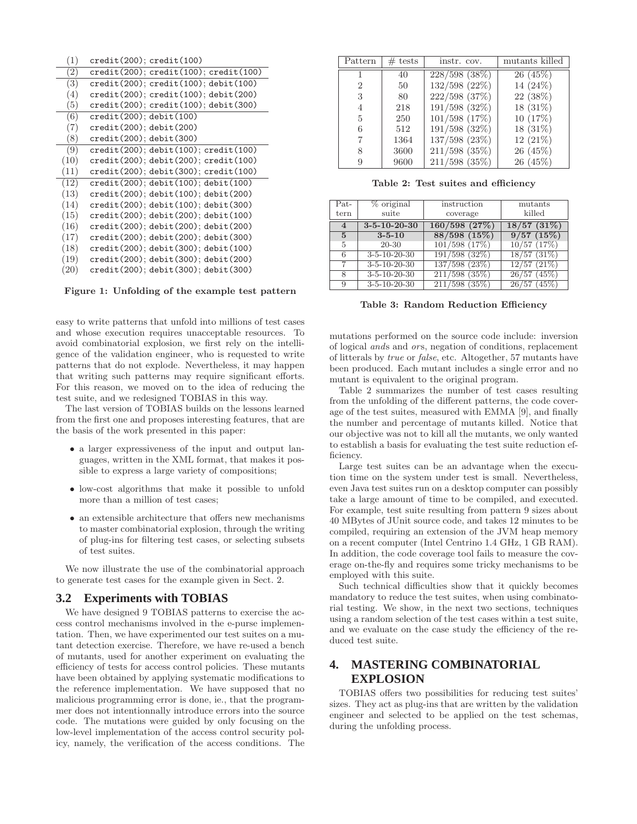| (1)  | $\text{credit}(200); \text{credit}(100)$                          |
|------|-------------------------------------------------------------------|
| (2)  | credit(200); credit(100); credit(100)                             |
| (3)  | credit(200); credit(100); debt(100)                               |
| (4)  | credit(200); credit(100); debt(200)                               |
| (5)  | credit(200); credit(100); debit(300)                              |
| (6)  | credit(200); debt(100)                                            |
| (7)  | credit(200); debit(200)                                           |
| (8)  | credit(200); debit(300)                                           |
| (9)  | credit(200); debt(100); credit(100)                               |
| (10) | $\text{credit}(200)$ ; $\text{debit}(200)$ ; $\text{credit}(100)$ |
| (11) | credit(200); debit(300); credit(100)                              |
| (12) | credit(200); debit(100); debit(100)                               |
| (13) | credit(200); debit(100); debit(200)                               |
| (14) | credit(200); debit(100); debit(300)                               |
| (15) | credit(200); debit(200); debit(100)                               |
| (16) | credit(200); debit(200); debit(200)                               |
| (17) | credit(200); debit(200); debit(300)                               |
| (18) | credit(200); debit(300); debit(100)                               |
| (19) | credit(200); debit(300); debit(200)                               |
| (20) | credit(200); debit(300); debit(300)                               |

Figure 1: Unfolding of the example test pattern

easy to write patterns that unfold into millions of test cases and whose execution requires unacceptable resources. To avoid combinatorial explosion, we first rely on the intelligence of the validation engineer, who is requested to write patterns that do not explode. Nevertheless, it may happen that writing such patterns may require significant efforts. For this reason, we moved on to the idea of reducing the test suite, and we redesigned TOBIAS in this way.

The last version of TOBIAS builds on the lessons learned from the first one and proposes interesting features, that are the basis of the work presented in this paper:

- a larger expressiveness of the input and output languages, written in the XML format, that makes it possible to express a large variety of compositions;
- low-cost algorithms that make it possible to unfold more than a million of test cases;
- an extensible architecture that offers new mechanisms to master combinatorial explosion, through the writing of plug-ins for filtering test cases, or selecting subsets of test suites.

We now illustrate the use of the combinatorial approach to generate test cases for the example given in Sect. 2.

# **3.2 Experiments with TOBIAS**

We have designed 9 TOBIAS patterns to exercise the access control mechanisms involved in the e-purse implementation. Then, we have experimented our test suites on a mutant detection exercise. Therefore, we have re-used a bench of mutants, used for another experiment on evaluating the efficiency of tests for access control policies. These mutants have been obtained by applying systematic modifications to the reference implementation. We have supposed that no malicious programming error is done, ie., that the programmer does not intentionnally introduce errors into the source code. The mutations were guided by only focusing on the low-level implementation of the access control security policy, namely, the verification of the access conditions. The

| Pattern | $#$ tests | instr. cov.      | mutants killed |
|---------|-----------|------------------|----------------|
|         | 40        | $228/598(38\%)$  | 26(45%)        |
| 2       | 50        | 132/598 (22%)    | 14 (24\%)      |
| 3       | 80        | 222/598(37%)     | 22(38%)        |
| 4       | 218       | 191/598 (32%)    | 18 (31%)       |
| 5       | 250       | 101/598 (17%)    | 10(17%)        |
| 6       | 512       | 191/598 (32%)    | $18(31\%)$     |
|         | 1364      | $137/598$ (23\%) | $12(21\%)$     |
| 8       | 3600      | 211/598 (35%)    | 26 (45%)       |
| 9       | 9600      | 211/598 (35%)    | 26 (45%)       |

Table 2: Test suites and efficiency

| $Pat-$       | % original             | instruction        | mutants           |  |
|--------------|------------------------|--------------------|-------------------|--|
| tern         | suite                  | coverage           | killed            |  |
|              | $3 - 5 - 10 - 20 - 30$ | 160/598(27%)       | 18/57(31%)        |  |
| $\mathbf{5}$ | $3 - 5 - 10$           | 88/598 (15%)       | 9/57(15%)         |  |
| 5            | $20 - 30$              | 101/598(17%)       | $10/57$ $(17%)$   |  |
| 6            | $3 - 5 - 10 - 20 - 30$ | 191/598(32%)       | (31%)<br>18/57    |  |
|              | $3 - 5 - 10 - 20 - 30$ | $137/598$ $(23\%)$ | $(21\%)$<br>12/57 |  |
| 8            | $3 - 5 - 10 - 20 - 30$ | 211/598<br>$(35\%$ | 26/57<br>$(45\%)$ |  |
| Q            | $3 - 5 - 10 - 20 - 30$ | 211/598<br>(35%)   | 26/57<br>$(45\%)$ |  |

#### Table 3: Random Reduction Efficiency

mutations performed on the source code include: inversion of logical ands and ors, negation of conditions, replacement of litterals by true or false, etc. Altogether, 57 mutants have been produced. Each mutant includes a single error and no mutant is equivalent to the original program.

Table 2 summarizes the number of test cases resulting from the unfolding of the different patterns, the code coverage of the test suites, measured with EMMA [9], and finally the number and percentage of mutants killed. Notice that our objective was not to kill all the mutants, we only wanted to establish a basis for evaluating the test suite reduction efficiency.

Large test suites can be an advantage when the execution time on the system under test is small. Nevertheless, even Java test suites run on a desktop computer can possibly take a large amount of time to be compiled, and executed. For example, test suite resulting from pattern 9 sizes about 40 MBytes of JUnit source code, and takes 12 minutes to be compiled, requiring an extension of the JVM heap memory on a recent computer (Intel Centrino 1.4 GHz, 1 GB RAM). In addition, the code coverage tool fails to measure the coverage on-the-fly and requires some tricky mechanisms to be employed with this suite.

Such technical difficulties show that it quickly becomes mandatory to reduce the test suites, when using combinatorial testing. We show, in the next two sections, techniques using a random selection of the test cases within a test suite, and we evaluate on the case study the efficiency of the reduced test suite.

# **4. MASTERING COMBINATORIAL EXPLOSION**

TOBIAS offers two possibilities for reducing test suites' sizes. They act as plug-ins that are written by the validation engineer and selected to be applied on the test schemas, during the unfolding process.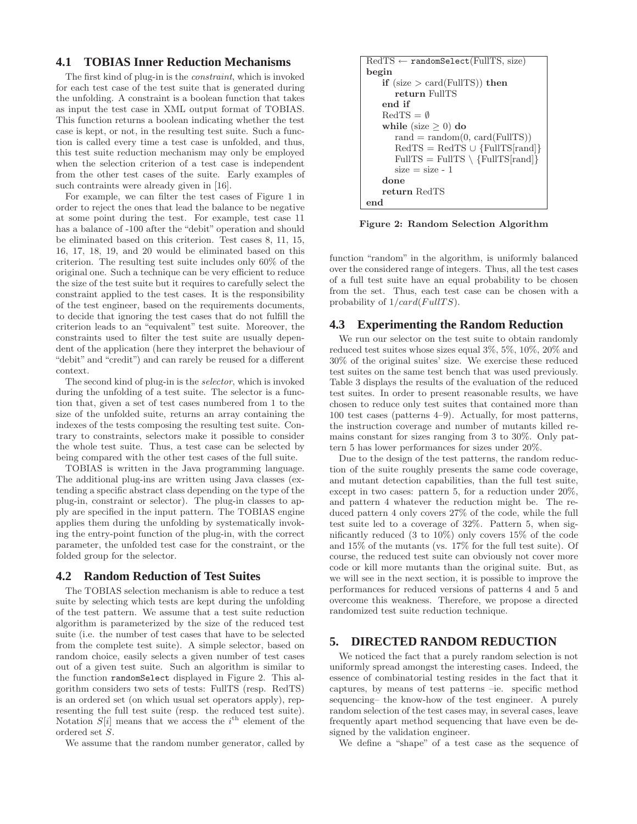# **4.1 TOBIAS Inner Reduction Mechanisms**

The first kind of plug-in is the constraint, which is invoked for each test case of the test suite that is generated during the unfolding. A constraint is a boolean function that takes as input the test case in XML output format of TOBIAS. This function returns a boolean indicating whether the test case is kept, or not, in the resulting test suite. Such a function is called every time a test case is unfolded, and thus, this test suite reduction mechanism may only be employed when the selection criterion of a test case is independent from the other test cases of the suite. Early examples of such contraints were already given in [16].

For example, we can filter the test cases of Figure 1 in order to reject the ones that lead the balance to be negative at some point during the test. For example, test case 11 has a balance of -100 after the "debit" operation and should be eliminated based on this criterion. Test cases 8, 11, 15, 16, 17, 18, 19, and 20 would be eliminated based on this criterion. The resulting test suite includes only 60% of the original one. Such a technique can be very efficient to reduce the size of the test suite but it requires to carefully select the constraint applied to the test cases. It is the responsibility of the test engineer, based on the requirements documents, to decide that ignoring the test cases that do not fulfill the criterion leads to an "equivalent" test suite. Moreover, the constraints used to filter the test suite are usually dependent of the application (here they interpret the behaviour of "debit" and "credit") and can rarely be reused for a different context.

The second kind of plug-in is the selector, which is invoked during the unfolding of a test suite. The selector is a function that, given a set of test cases numbered from 1 to the size of the unfolded suite, returns an array containing the indexes of the tests composing the resulting test suite. Contrary to constraints, selectors make it possible to consider the whole test suite. Thus, a test case can be selected by being compared with the other test cases of the full suite.

TOBIAS is written in the Java programming language. The additional plug-ins are written using Java classes (extending a specific abstract class depending on the type of the plug-in, constraint or selector). The plug-in classes to apply are specified in the input pattern. The TOBIAS engine applies them during the unfolding by systematically invoking the entry-point function of the plug-in, with the correct parameter, the unfolded test case for the constraint, or the folded group for the selector.

#### **4.2 Random Reduction of Test Suites**

The TOBIAS selection mechanism is able to reduce a test suite by selecting which tests are kept during the unfolding of the test pattern. We assume that a test suite reduction algorithm is parameterized by the size of the reduced test suite (i.e. the number of test cases that have to be selected from the complete test suite). A simple selector, based on random choice, easily selects a given number of test cases out of a given test suite. Such an algorithm is similar to the function randomSelect displayed in Figure 2. This algorithm considers two sets of tests: FullTS (resp. RedTS) is an ordered set (on which usual set operators apply), representing the full test suite (resp. the reduced test suite). Notation  $S[i]$  means that we access the  $i<sup>th</sup>$  element of the ordered set S.

We assume that the random number generator, called by

```
RedTS \leftarrow randomSelect(FullTS, size)begin
   if (size > card(FullTS)) then
      return FullTS
   end if
   RedTS = \emptysetwhile (size > 0) do
       rand = random(0, card(FullTS))RedTS = RedTS \cup {FullTS[rand]}FullTS = FullTS \setminus {FullTS[rand]}size = size - 1done
   return RedTS
end
```
Figure 2: Random Selection Algorithm

function "random" in the algorithm, is uniformly balanced over the considered range of integers. Thus, all the test cases of a full test suite have an equal probability to be chosen from the set. Thus, each test case can be chosen with a probability of 1/card(FullTS).

#### **4.3 Experimenting the Random Reduction**

We run our selector on the test suite to obtain randomly reduced test suites whose sizes equal 3%, 5%, 10%, 20% and 30% of the original suites' size. We exercise these reduced test suites on the same test bench that was used previously. Table 3 displays the results of the evaluation of the reduced test suites. In order to present reasonable results, we have chosen to reduce only test suites that contained more than 100 test cases (patterns 4–9). Actually, for most patterns, the instruction coverage and number of mutants killed remains constant for sizes ranging from 3 to 30%. Only pattern 5 has lower performances for sizes under 20%.

Due to the design of the test patterns, the random reduction of the suite roughly presents the same code coverage, and mutant detection capabilities, than the full test suite, except in two cases: pattern 5, for a reduction under 20%, and pattern 4 whatever the reduction might be. The reduced pattern 4 only covers 27% of the code, while the full test suite led to a coverage of 32%. Pattern 5, when significantly reduced (3 to 10%) only covers 15% of the code and 15% of the mutants (vs. 17% for the full test suite). Of course, the reduced test suite can obviously not cover more code or kill more mutants than the original suite. But, as we will see in the next section, it is possible to improve the performances for reduced versions of patterns 4 and 5 and overcome this weakness. Therefore, we propose a directed randomized test suite reduction technique.

# **5. DIRECTED RANDOM REDUCTION**

We noticed the fact that a purely random selection is not uniformly spread amongst the interesting cases. Indeed, the essence of combinatorial testing resides in the fact that it captures, by means of test patterns –ie. specific method sequencing– the know-how of the test engineer. A purely random selection of the test cases may, in several cases, leave frequently apart method sequencing that have even be designed by the validation engineer.

We define a "shape" of a test case as the sequence of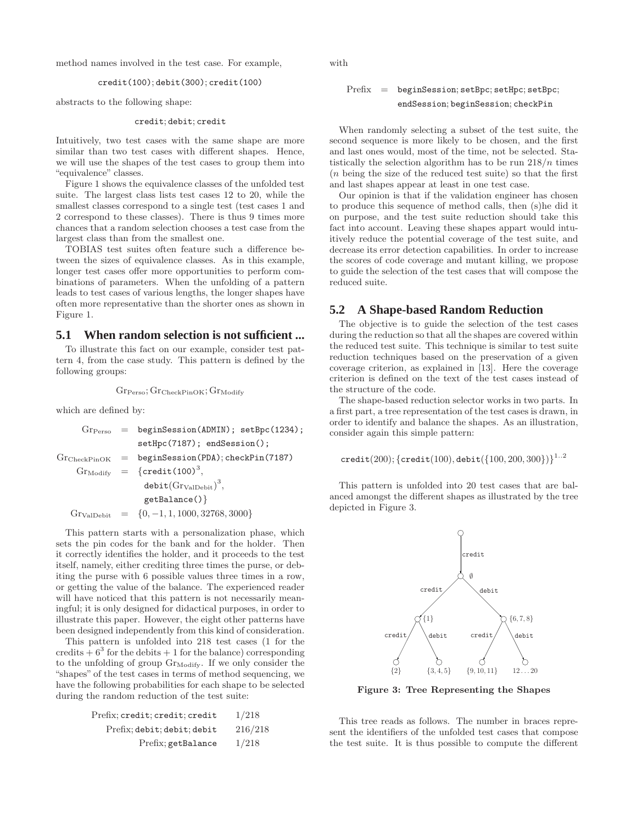method names involved in the test case. For example,

#### credit(100); debit(300); credit(100)

abstracts to the following shape:

#### credit; debit; credit

Intuitively, two test cases with the same shape are more similar than two test cases with different shapes. Hence, we will use the shapes of the test cases to group them into "equivalence" classes.

Figure 1 shows the equivalence classes of the unfolded test suite. The largest class lists test cases 12 to 20, while the smallest classes correspond to a single test (test cases 1 and 2 correspond to these classes). There is thus 9 times more chances that a random selection chooses a test case from the largest class than from the smallest one.

TOBIAS test suites often feature such a difference between the sizes of equivalence classes. As in this example, longer test cases offer more opportunities to perform combinations of parameters. When the unfolding of a pattern leads to test cases of various lengths, the longer shapes have often more representative than the shorter ones as shown in Figure 1.

#### **5.1 When random selection is not sufficient ...**

To illustrate this fact on our example, consider test pattern 4, from the case study. This pattern is defined by the following groups:

 $Gr<sub>Person</sub>; Gr<sub>CheckPinOK</sub>; Gr<sub>Modify</sub>$ 

which are defined by:

$$
\begin{array}{rcl} \text{Gr}_{\text{Person}} & = & \text{beginS}} \text{SignSession}(\text{ADMIN}) \text{; setBpc}(1234) \text{;} \\ & \text{setHpc}(7187) \text{; endSession();} \\ \text{Gr}_{\text{CheckPinOK}} & = & \text{beginS}} \text{begin}(\text{PDA}) \text{; checkPin}(7187) \\ & \text{Gr}_{\text{Modify}} & = & \{\text{credit}(100)^3, \text{ } \\ & \text{debit}(\text{Gr}_{\text{ValDebit}})^3, \text{ } \\ & \text{getBalance()} \} \end{array} \end{array}
$$

This pattern starts with a personalization phase, which sets the pin codes for the bank and for the holder. Then it correctly identifies the holder, and it proceeds to the test itself, namely, either crediting three times the purse, or debiting the purse with 6 possible values three times in a row, or getting the value of the balance. The experienced reader will have noticed that this pattern is not necessarily meaningful; it is only designed for didactical purposes, in order to illustrate this paper. However, the eight other patterns have been designed independently from this kind of consideration.

This pattern is unfolded into 218 test cases (1 for the credits  $+6^3$  for the debits  $+1$  for the balance) corresponding to the unfolding of group  $Gr_{\text{Modify}}$ . If we only consider the "shapes" of the test cases in terms of method sequencing, we have the following probabilities for each shape to be selected during the random reduction of the test suite:

| Prefix; credit; credit; credit | 1/218   |
|--------------------------------|---------|
| Prefix; debit; debit; debit    | 216/218 |
| Prefix; getBalance             | 1/218   |

with

# Prefix = beginSession; setBpc; setHpc; setBpc; endSession; beginSession; checkPin

When randomly selecting a subset of the test suite, the second sequence is more likely to be chosen, and the first and last ones would, most of the time, not be selected. Statistically the selection algorithm has to be run  $218/n$  times (n being the size of the reduced test suite) so that the first and last shapes appear at least in one test case.

Our opinion is that if the validation engineer has chosen to produce this sequence of method calls, then (s)he did it on purpose, and the test suite reduction should take this fact into account. Leaving these shapes appart would intuitively reduce the potential coverage of the test suite, and decrease its error detection capabilities. In order to increase the scores of code coverage and mutant killing, we propose to guide the selection of the test cases that will compose the reduced suite.

#### **5.2 A Shape-based Random Reduction**

The objective is to guide the selection of the test cases during the reduction so that all the shapes are covered within the reduced test suite. This technique is similar to test suite reduction techniques based on the preservation of a given coverage criterion, as explained in [13]. Here the coverage criterion is defined on the text of the test cases instead of the structure of the code.

The shape-based reduction selector works in two parts. In a first part, a tree representation of the test cases is drawn, in order to identify and balance the shapes. As an illustration, consider again this simple pattern:

 $\texttt{credit}(200); \{\texttt{credit}(100), \texttt{debit}(\{100, 200, 300\})\}^{1..2}$ 

This pattern is unfolded into 20 test cases that are balanced amongst the different shapes as illustrated by the tree depicted in Figure 3.



Figure 3: Tree Representing the Shapes

This tree reads as follows. The number in braces represent the identifiers of the unfolded test cases that compose the test suite. It is thus possible to compute the different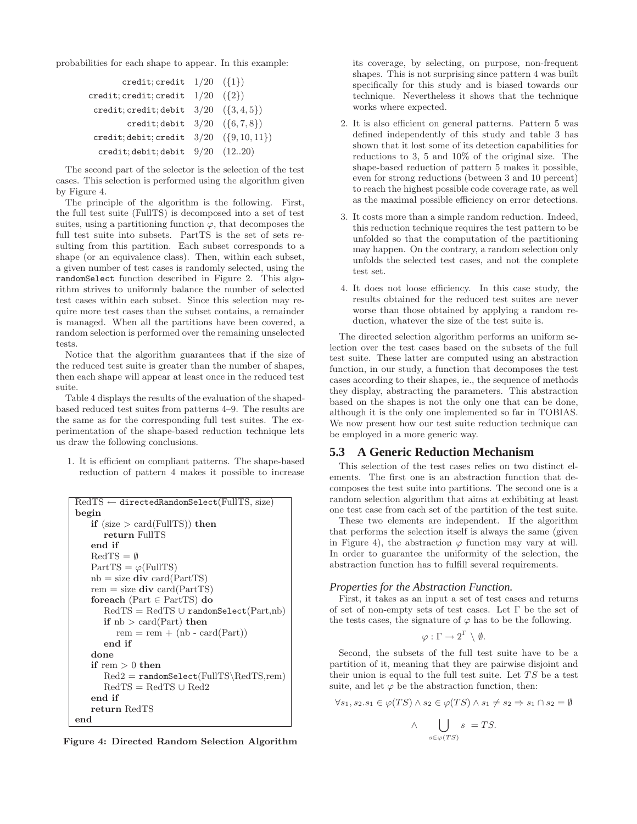probabilities for each shape to appear. In this example:

| credit; credit $1/20$ ({1})              |                |
|------------------------------------------|----------------|
| credit; credit; credit                   | $1/20$ $({2})$ |
| credit; credit; debit $3/20$ $({3,4,5})$ |                |
| credit; debit $3/20$ $({6, 7, 8})$       |                |
| credit; debit; credit $3/20$ ({9,10,11}) |                |
| credit; debit; debit $9/20$ $(1220)$     |                |

The second part of the selector is the selection of the test cases. This selection is performed using the algorithm given by Figure 4.

The principle of the algorithm is the following. First, the full test suite (FullTS) is decomposed into a set of test suites, using a partitioning function  $\varphi$ , that decomposes the full test suite into subsets. PartTS is the set of sets resulting from this partition. Each subset corresponds to a shape (or an equivalence class). Then, within each subset, a given number of test cases is randomly selected, using the randomSelect function described in Figure 2. This algorithm strives to uniformly balance the number of selected test cases within each subset. Since this selection may require more test cases than the subset contains, a remainder is managed. When all the partitions have been covered, a random selection is performed over the remaining unselected tests.

Notice that the algorithm guarantees that if the size of the reduced test suite is greater than the number of shapes, then each shape will appear at least once in the reduced test suite.

Table 4 displays the results of the evaluation of the shapedbased reduced test suites from patterns 4–9. The results are the same as for the corresponding full test suites. The experimentation of the shape-based reduction technique lets us draw the following conclusions.

1. It is efficient on compliant patterns. The shape-based reduction of pattern 4 makes it possible to increase

```
RedTS \leftarrow directedRandomSelect(FullTS, size)begin
   if (size > card(FullTS)) then
       return FullTS
    end if
    RedTS = \emptysetPartTS = \varphi(FullTS)
    nb = size div card(PartTS)
    rem = size div card(PartTS)
    foreach (Part ∈ PartTS) do
       RedTS = RedTS \cup randomSelect(Part, nb)if nb > \text{card}(Part) then
          rem = rem + (nb - card(Part))end if
    done
    if rem > 0 then
       Red2 = \text{randomSelect}(\text{FullTS}\backslash\text{RedTS},\text{rem})RedTS = RedTS \cup Red2end if
    return RedTS
end
```
its coverage, by selecting, on purpose, non-frequent shapes. This is not surprising since pattern 4 was built specifically for this study and is biased towards our technique. Nevertheless it shows that the technique works where expected.

- 2. It is also efficient on general patterns. Pattern 5 was defined independently of this study and table 3 has shown that it lost some of its detection capabilities for reductions to 3, 5 and 10% of the original size. The shape-based reduction of pattern 5 makes it possible, even for strong reductions (between 3 and 10 percent) to reach the highest possible code coverage rate, as well as the maximal possible efficiency on error detections.
- 3. It costs more than a simple random reduction. Indeed, this reduction technique requires the test pattern to be unfolded so that the computation of the partitioning may happen. On the contrary, a random selection only unfolds the selected test cases, and not the complete test set.
- 4. It does not loose efficiency. In this case study, the results obtained for the reduced test suites are never worse than those obtained by applying a random reduction, whatever the size of the test suite is.

The directed selection algorithm performs an uniform selection over the test cases based on the subsets of the full test suite. These latter are computed using an abstraction function, in our study, a function that decomposes the test cases according to their shapes, ie., the sequence of methods they display, abstracting the parameters. This abstraction based on the shapes is not the only one that can be done, although it is the only one implemented so far in TOBIAS. We now present how our test suite reduction technique can be employed in a more generic way.

# **5.3 A Generic Reduction Mechanism**

This selection of the test cases relies on two distinct elements. The first one is an abstraction function that decomposes the test suite into partitions. The second one is a random selection algorithm that aims at exhibiting at least one test case from each set of the partition of the test suite.

These two elements are independent. If the algorithm that performs the selection itself is always the same (given in Figure 4), the abstraction  $\varphi$  function may vary at will. In order to guarantee the uniformity of the selection, the abstraction function has to fulfill several requirements.

#### *Properties for the Abstraction Function.*

First, it takes as an input a set of test cases and returns of set of non-empty sets of test cases. Let Γ be the set of the tests cases, the signature of  $\varphi$  has to be the following.

$$
\varphi:\Gamma\to 2^{\Gamma}\setminus\emptyset.
$$

Second, the subsets of the full test suite have to be a partition of it, meaning that they are pairwise disjoint and their union is equal to the full test suite. Let TS be a test suite, and let  $\varphi$  be the abstraction function, then:

$$
\forall s_1, s_2. s_1 \in \varphi(TS) \land s_2 \in \varphi(TS) \land s_1 \neq s_2 \Rightarrow s_1 \cap s_2 = \emptyset
$$

$$
\wedge \bigcup_{s \in \varphi(TS)} s = TS.
$$

Figure 4: Directed Random Selection Algorithm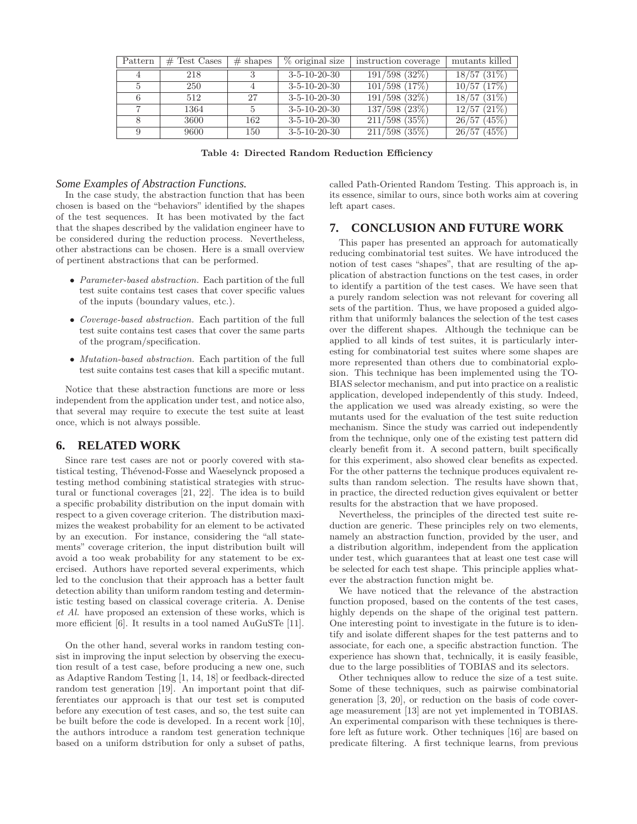| Pattern | # Test Cases | $#$ shapes | % original size        | instruction coverage | mutants killed  |
|---------|--------------|------------|------------------------|----------------------|-----------------|
|         | 218          |            | $3-5-10-20-30$         | $191/598$ (32\%)     | 18/57(31%)      |
|         | 250          |            | $3-5-10-20-30$         | $101/598$ $(17\%)$   | $10/57$ $(17%)$ |
| 6       | 512          | 27         | $3-5-10-20-30$         | $191/598$ (32\%)     | 18/57(31%)      |
|         | 1364         | 5          | $3-5-10-20-30$         | $137/598$ (23\%)     | 12/57(21%)      |
| 8       | 3600         | 162        | $3-5-10-20-30$         | $211/598$ (35\%)     | 26/57(45%)      |
|         | 9600         | 150        | $3 - 5 - 10 - 20 - 30$ | $211/598$ (35%)      | 26/57(45%)      |

Table 4: Directed Random Reduction Efficiency

#### *Some Examples of Abstraction Functions.*

In the case study, the abstraction function that has been chosen is based on the "behaviors" identified by the shapes of the test sequences. It has been motivated by the fact that the shapes described by the validation engineer have to be considered during the reduction process. Nevertheless, other abstractions can be chosen. Here is a small overview of pertinent abstractions that can be performed.

- Parameter-based abstraction. Each partition of the full test suite contains test cases that cover specific values of the inputs (boundary values, etc.).
- Coverage-based abstraction. Each partition of the full test suite contains test cases that cover the same parts of the program/specification.
- Mutation-based abstraction. Each partition of the full test suite contains test cases that kill a specific mutant.

Notice that these abstraction functions are more or less independent from the application under test, and notice also, that several may require to execute the test suite at least once, which is not always possible.

# **6. RELATED WORK**

Since rare test cases are not or poorly covered with statistical testing, Thévenod-Fosse and Waeselynck proposed a testing method combining statistical strategies with structural or functional coverages [21, 22]. The idea is to build a specific probability distribution on the input domain with respect to a given coverage criterion. The distribution maximizes the weakest probability for an element to be activated by an execution. For instance, considering the "all statements" coverage criterion, the input distribution built will avoid a too weak probability for any statement to be exercised. Authors have reported several experiments, which led to the conclusion that their approach has a better fault detection ability than uniform random testing and deterministic testing based on classical coverage criteria. A. Denise et Al. have proposed an extension of these works, which is more efficient [6]. It results in a tool named AuGuSTe [11].

On the other hand, several works in random testing consist in improving the input selection by observing the execution result of a test case, before producing a new one, such as Adaptive Random Testing [1, 14, 18] or feedback-directed random test generation [19]. An important point that differentiates our approach is that our test set is computed before any execution of test cases, and so, the test suite can be built before the code is developed. In a recent work [10], the authors introduce a random test generation technique based on a uniform dstribution for only a subset of paths,

called Path-Oriented Random Testing. This approach is, in its essence, similar to ours, since both works aim at covering left apart cases.

# **7. CONCLUSION AND FUTURE WORK**

This paper has presented an approach for automatically reducing combinatorial test suites. We have introduced the notion of test cases "shapes", that are resulting of the application of abstraction functions on the test cases, in order to identify a partition of the test cases. We have seen that a purely random selection was not relevant for covering all sets of the partition. Thus, we have proposed a guided algorithm that uniformly balances the selection of the test cases over the different shapes. Although the technique can be applied to all kinds of test suites, it is particularly interesting for combinatorial test suites where some shapes are more represented than others due to combinatorial explosion. This technique has been implemented using the TO-BIAS selector mechanism, and put into practice on a realistic application, developed independently of this study. Indeed, the application we used was already existing, so were the mutants used for the evaluation of the test suite reduction mechanism. Since the study was carried out independently from the technique, only one of the existing test pattern did clearly benefit from it. A second pattern, built specifically for this experiment, also showed clear benefits as expected. For the other patterns the technique produces equivalent results than random selection. The results have shown that, in practice, the directed reduction gives equivalent or better results for the abstraction that we have proposed.

Nevertheless, the principles of the directed test suite reduction are generic. These principles rely on two elements, namely an abstraction function, provided by the user, and a distribution algorithm, independent from the application under test, which guarantees that at least one test case will be selected for each test shape. This principle applies whatever the abstraction function might be.

We have noticed that the relevance of the abstraction function proposed, based on the contents of the test cases, highly depends on the shape of the original test pattern. One interesting point to investigate in the future is to identify and isolate different shapes for the test patterns and to associate, for each one, a specific abstraction function. The experience has shown that, technically, it is easily feasible, due to the large possiblities of TOBIAS and its selectors.

Other techniques allow to reduce the size of a test suite. Some of these techniques, such as pairwise combinatorial generation [3, 20], or reduction on the basis of code coverage measurement [13] are not yet implemented in TOBIAS. An experimental comparison with these techniques is therefore left as future work. Other techniques [16] are based on predicate filtering. A first technique learns, from previous